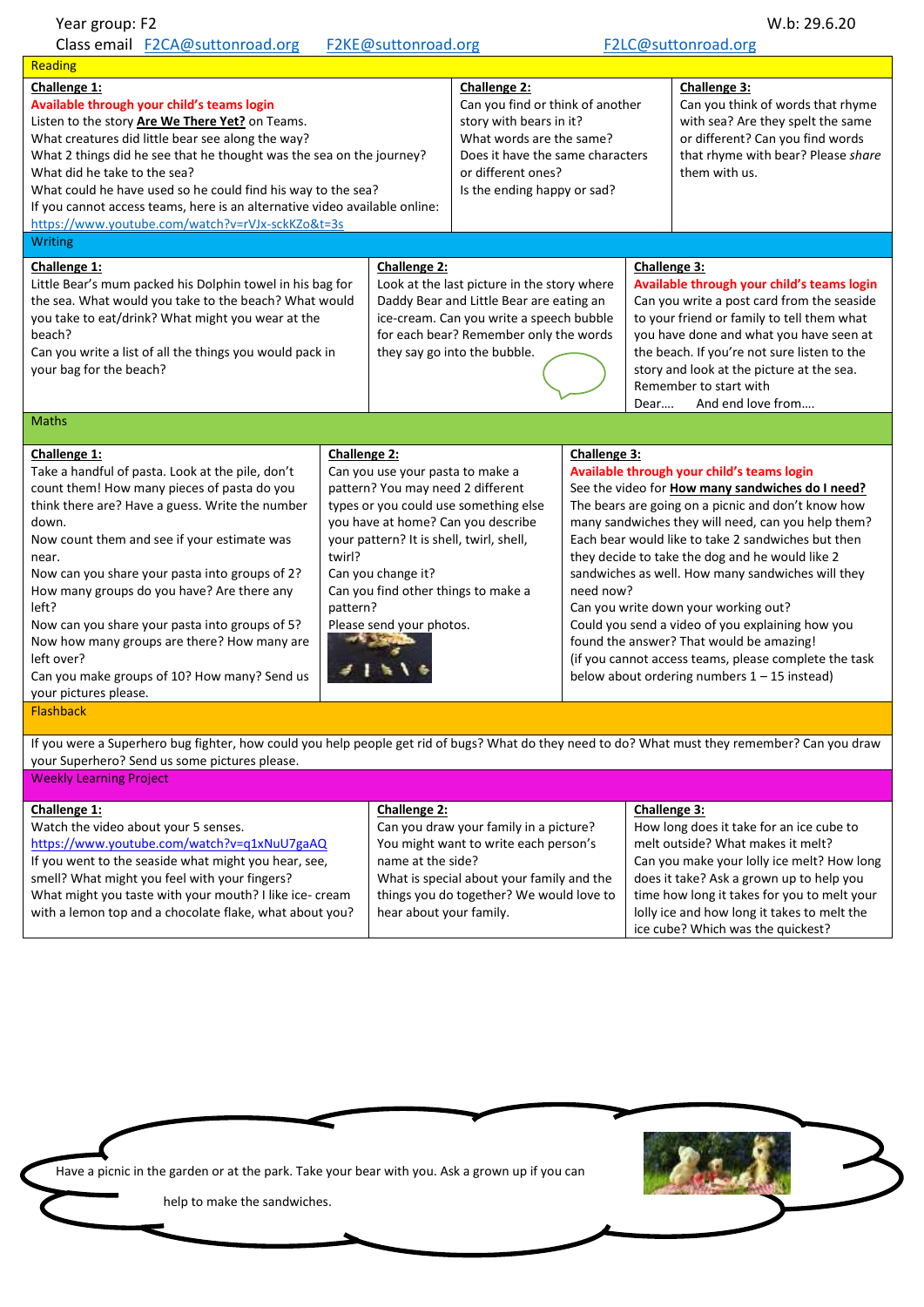| Year group: F2                                                                                                                                                                                                                                                                                                                                                                                                                                                                                                                                    |                                    |                                                                                                                                                                                                                                      |                                                                                                                                                                                                  |                                                                                                                                                                                                                                                                                                                                                                                                                                                                                                                                                                                                                                                                 |                                                                                                                                                                                                                                                                                                                                                      | W.b: 29.6.20                                                                                                                                                                                                                                                          |
|---------------------------------------------------------------------------------------------------------------------------------------------------------------------------------------------------------------------------------------------------------------------------------------------------------------------------------------------------------------------------------------------------------------------------------------------------------------------------------------------------------------------------------------------------|------------------------------------|--------------------------------------------------------------------------------------------------------------------------------------------------------------------------------------------------------------------------------------|--------------------------------------------------------------------------------------------------------------------------------------------------------------------------------------------------|-----------------------------------------------------------------------------------------------------------------------------------------------------------------------------------------------------------------------------------------------------------------------------------------------------------------------------------------------------------------------------------------------------------------------------------------------------------------------------------------------------------------------------------------------------------------------------------------------------------------------------------------------------------------|------------------------------------------------------------------------------------------------------------------------------------------------------------------------------------------------------------------------------------------------------------------------------------------------------------------------------------------------------|-----------------------------------------------------------------------------------------------------------------------------------------------------------------------------------------------------------------------------------------------------------------------|
| Class email F2CA@suttonroad.org<br>F2KE@suttonroad.org<br>F2LC@suttonroad.org                                                                                                                                                                                                                                                                                                                                                                                                                                                                     |                                    |                                                                                                                                                                                                                                      |                                                                                                                                                                                                  |                                                                                                                                                                                                                                                                                                                                                                                                                                                                                                                                                                                                                                                                 |                                                                                                                                                                                                                                                                                                                                                      |                                                                                                                                                                                                                                                                       |
| Reading                                                                                                                                                                                                                                                                                                                                                                                                                                                                                                                                           |                                    |                                                                                                                                                                                                                                      |                                                                                                                                                                                                  |                                                                                                                                                                                                                                                                                                                                                                                                                                                                                                                                                                                                                                                                 |                                                                                                                                                                                                                                                                                                                                                      |                                                                                                                                                                                                                                                                       |
| Challenge 1:<br>Available through your child's teams login<br>Listen to the story Are We There Yet? on Teams.<br>What creatures did little bear see along the way?<br>What 2 things did he see that he thought was the sea on the journey?<br>What did he take to the sea?<br>What could he have used so he could find his way to the sea?<br>If you cannot access teams, here is an alternative video available online:<br>https://www.youtube.com/watch?v=rVJx-sckKZo&t=3s                                                                      |                                    |                                                                                                                                                                                                                                      | Challenge 2:<br>Can you find or think of another<br>story with bears in it?<br>What words are the same?<br>Does it have the same characters<br>or different ones?<br>Is the ending happy or sad? |                                                                                                                                                                                                                                                                                                                                                                                                                                                                                                                                                                                                                                                                 |                                                                                                                                                                                                                                                                                                                                                      | Challenge 3:<br>Can you think of words that rhyme<br>with sea? Are they spelt the same<br>or different? Can you find words<br>that rhyme with bear? Please share<br>them with us.                                                                                     |
| Writing                                                                                                                                                                                                                                                                                                                                                                                                                                                                                                                                           |                                    |                                                                                                                                                                                                                                      |                                                                                                                                                                                                  |                                                                                                                                                                                                                                                                                                                                                                                                                                                                                                                                                                                                                                                                 |                                                                                                                                                                                                                                                                                                                                                      |                                                                                                                                                                                                                                                                       |
| Challenge 1:<br>Little Bear's mum packed his Dolphin towel in his bag for<br>the sea. What would you take to the beach? What would<br>you take to eat/drink? What might you wear at the<br>beach?<br>Can you write a list of all the things you would pack in<br>your bag for the beach?                                                                                                                                                                                                                                                          |                                    | <b>Challenge 2:</b><br>Look at the last picture in the story where<br>Daddy Bear and Little Bear are eating an<br>ice-cream. Can you write a speech bubble<br>for each bear? Remember only the words<br>they say go into the bubble. |                                                                                                                                                                                                  |                                                                                                                                                                                                                                                                                                                                                                                                                                                                                                                                                                                                                                                                 | Challenge 3:<br>Available through your child's teams login<br>Can you write a post card from the seaside<br>to your friend or family to tell them what<br>you have done and what you have seen at<br>the beach. If you're not sure listen to the<br>story and look at the picture at the sea.<br>Remember to start with<br>And end love from<br>Dear |                                                                                                                                                                                                                                                                       |
| <b>Maths</b>                                                                                                                                                                                                                                                                                                                                                                                                                                                                                                                                      |                                    |                                                                                                                                                                                                                                      |                                                                                                                                                                                                  |                                                                                                                                                                                                                                                                                                                                                                                                                                                                                                                                                                                                                                                                 |                                                                                                                                                                                                                                                                                                                                                      |                                                                                                                                                                                                                                                                       |
| Challenge 1:<br>Take a handful of pasta. Look at the pile, don't<br>count them! How many pieces of pasta do you<br>think there are? Have a guess. Write the number<br>down.<br>Now count them and see if your estimate was<br>near.<br>Now can you share your pasta into groups of 2?<br>How many groups do you have? Are there any<br>left?<br>Now can you share your pasta into groups of 5?<br>Now how many groups are there? How many are<br>left over?<br>Can you make groups of 10? How many? Send us<br>your pictures please.<br>Flashback | Challenge 2:<br>twirl?<br>pattern? | Can you use your pasta to make a<br>pattern? You may need 2 different<br>your pattern? It is shell, twirl, shell,<br>Can you change it?<br>Can you find other things to make a<br>Please send your photos.                           | types or you could use something else<br>you have at home? Can you describe                                                                                                                      | Challenge 3:<br>Available through your child's teams login<br>See the video for <b>How many sandwiches do I need?</b><br>The bears are going on a picnic and don't know how<br>many sandwiches they will need, can you help them?<br>Each bear would like to take 2 sandwiches but then<br>they decide to take the dog and he would like 2<br>sandwiches as well. How many sandwiches will they<br>need now?<br>Can you write down your working out?<br>Could you send a video of you explaining how you<br>found the answer? That would be amazing!<br>(if you cannot access teams, please complete the task<br>below about ordering numbers $1 - 15$ instead) |                                                                                                                                                                                                                                                                                                                                                      |                                                                                                                                                                                                                                                                       |
| If you were a Superhero bug fighter, how could you help people get rid of bugs? What do they need to do? What must they remember? Can you draw<br>your Superhero? Send us some pictures please.<br><b>Weekly Learning Project</b>                                                                                                                                                                                                                                                                                                                 |                                    |                                                                                                                                                                                                                                      |                                                                                                                                                                                                  |                                                                                                                                                                                                                                                                                                                                                                                                                                                                                                                                                                                                                                                                 |                                                                                                                                                                                                                                                                                                                                                      |                                                                                                                                                                                                                                                                       |
| Challenge 1:<br>Watch the video about your 5 senses.<br>https://www.youtube.com/watch?v=q1xNuU7gaAQ<br>If you went to the seaside what might you hear, see,<br>smell? What might you feel with your fingers?<br>What might you taste with your mouth? I like ice- cream<br>with a lemon top and a chocolate flake, what about you?                                                                                                                                                                                                                |                                    | <b>Challenge 2:</b><br>name at the side?<br>hear about your family.                                                                                                                                                                  | Can you draw your family in a picture?<br>You might want to write each person's<br>What is special about your family and the<br>things you do together? We would love to                         |                                                                                                                                                                                                                                                                                                                                                                                                                                                                                                                                                                                                                                                                 | Challenge 3:                                                                                                                                                                                                                                                                                                                                         | How long does it take for an ice cube to<br>melt outside? What makes it melt?<br>Can you make your lolly ice melt? How long<br>does it take? Ask a grown up to help you<br>time how long it takes for you to melt your<br>lolly ice and how long it takes to melt the |

ice cube? Which was the quickest?

ς

Have a picnic in the garden or at the park. Take your bear with you. Ask a grown up if you can

help to make the sandwiches.